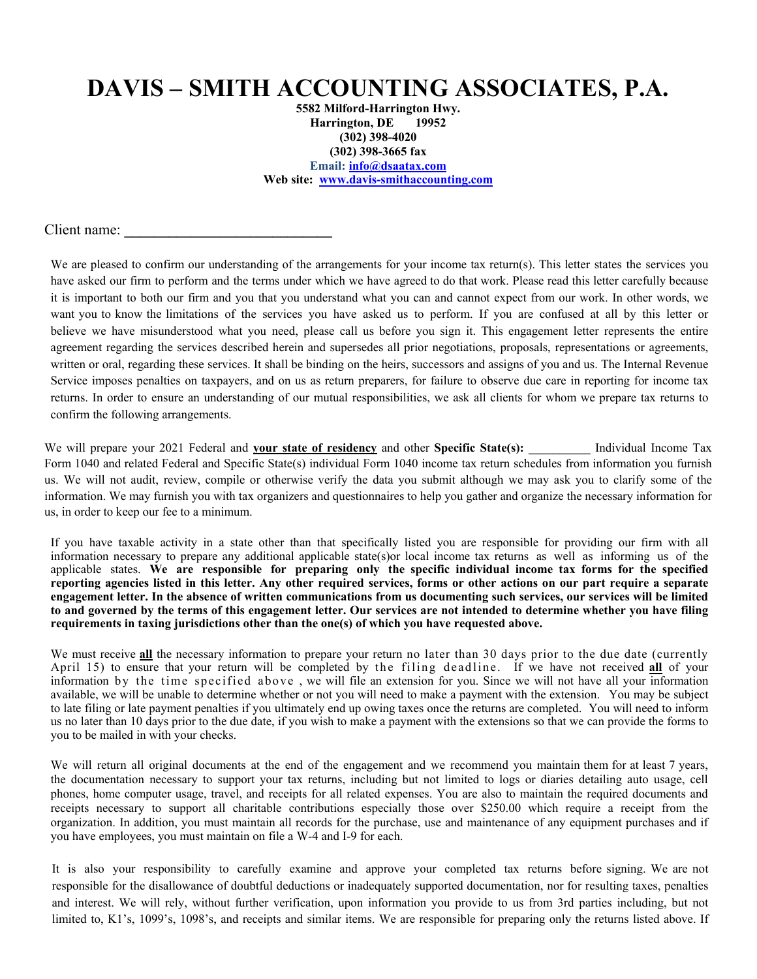## **DAVIS – SMITH ACCOUNTING ASSOCIATES, P.A.**

**5582 Milford-Harrington Hwy. Harrington, DE 19952 (302) 398-4020 (302) 398-3665 fax Email: info@dsaatax.com Web site: www.davis-smithaccounting.com**

Client name:

We are pleased to confirm our understanding of the arrangements for your income tax return(s). This letter states the services you have asked our firm to perform and the terms under which we have agreed to do that work. Please read this letter carefully because it is important to both our firm and you that you understand what you can and cannot expect from our work. In other words, we want you to know the limitations of the services you have asked us to perform. If you are confused at all by this letter or believe we have misunderstood what you need, please call us before you sign it. This engagement letter represents the entire agreement regarding the services described herein and supersedes all prior negotiations, proposals, representations or agreements, written or oral, regarding these services. It shall be binding on the heirs, successors and assigns of you and us. The Internal Revenue Service imposes penalties on taxpayers, and on us as return preparers, for failure to observe due care in reporting for income tax returns. In order to ensure an understanding of our mutual responsibilities, we ask all clients for whom we prepare tax returns to confirm the following arrangements.

We will prepare your 2021 Federal and **your state of residency** and other **Specific State(s):** [Individual Income Tax Form 1040 and related Federal and Specific State(s) individual Form 1040 income tax return schedules from information you furnish us. We will not audit, review, compile or otherwise verify the data you submit although we may ask you to clarify some of the information. We may furnish you with tax organizers and questionnaires to help you gather and organize the necessary information for us, in order to keep our fee to a minimum.

If you have taxable activity in a state other than that specifically listed you are responsible for providing our firm with all information necessary to prepare any additional applicable state(s)or local income tax returns as well as informing us of the applicable states. **We are responsible for preparing only the specific individual income tax forms for the specified reporting agencies listed in this letter. Any other required services, forms or other actions on our part require a separate engagement letter. In the absence of written communications from us documenting such services, our services will be limited to and governed by the terms of this engagement letter. Our services are not intended to determine whether you have filing requirements in taxing jurisdictions other than the one(s) of which you have requested above.** 

We must receive **all** the necessary information to prepare your return no later than 30 days prior to the due date (currently April 15) to ensure that your return will be completed by the filing deadline. If we have not received **all** of your information by the time specified above , we will file an extension for you. Since we will not have all your information available, we will be unable to determine whether or not you will need to make a payment with the extension. You may be subject to late filing or late payment penalties if you ultimately end up owing taxes once the returns are completed. You will need to inform us no later than 10 days prior to the due date, if you wish to make a payment with the extensions so that we can provide the forms to you to be mailed in with your checks.

We will return all original documents at the end of the engagement and we recommend you maintain them for at least 7 years, the documentation necessary to support your tax returns, including but not limited to logs or diaries detailing auto usage, cell phones, home computer usage, travel, and receipts for all related expenses. You are also to maintain the required documents and receipts necessary to support all charitable contributions especially those over \$250.00 which require a receipt from the organization. In addition, you must maintain all records for the purchase, use and maintenance of any equipment purchases and if you have employees, you must maintain on file a W-4 and I-9 for each.

It is also your responsibility to carefully examine and approve your completed tax returns before signing. We are not responsible for the disallowance of doubtful deductions or inadequately supported documentation, nor for resulting taxes, penalties and interest. We will rely, without further verification, upon information you provide to us from 3rd parties including, but not limited to, K1's, 1099's, 1098's, and receipts and similar items. We are responsible for preparing only the returns listed above. If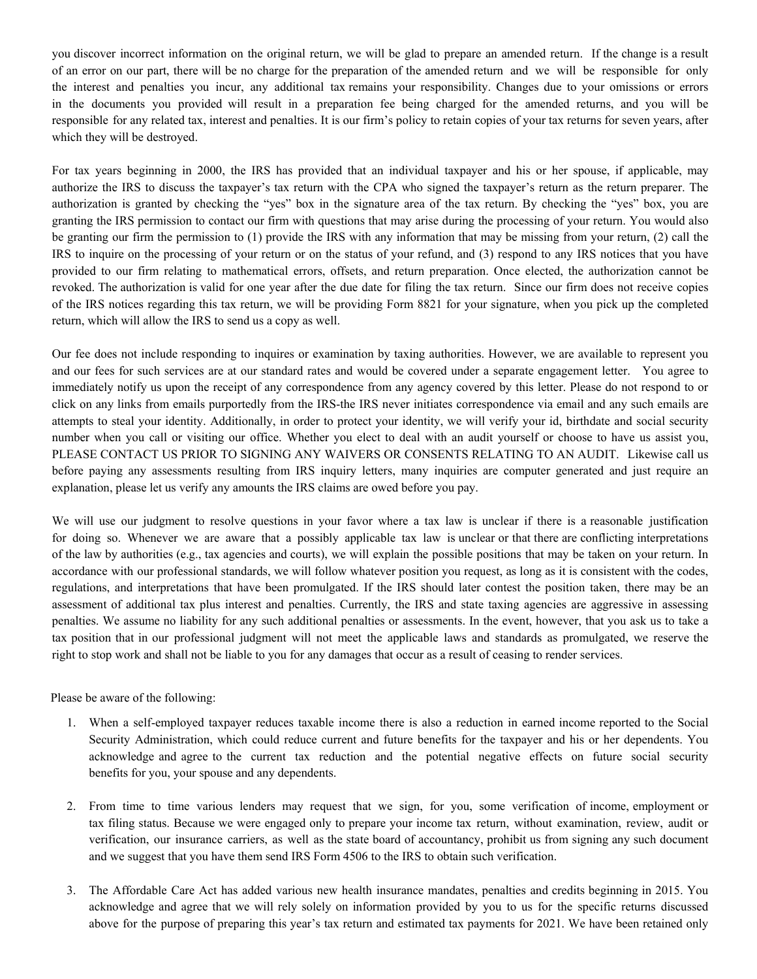you discover incorrect information on the original return, we will be glad to prepare an amended return. If the change is a result of an error on our part, there will be no charge for the preparation of the amended return and we will be responsible for only the interest and penalties you incur, any additional tax remains your responsibility. Changes due to your omissions or errors in the documents you provided will result in a preparation fee being charged for the amended returns, and you will be responsible for any related tax, interest and penalties. It is our firm's policy to retain copies of your tax returns for seven years, after which they will be destroyed.

For tax years beginning in 2000, the IRS has provided that an individual taxpayer and his or her spouse, if applicable, may authorize the IRS to discuss the taxpayer's tax return with the CPA who signed the taxpayer's return as the return preparer. The authorization is granted by checking the "yes" box in the signature area of the tax return. By checking the "yes" box, you are granting the IRS permission to contact our firm with questions that may arise during the processing of your return. You would also be granting our firm the permission to (1) provide the IRS with any information that may be missing from your return, (2) call the IRS to inquire on the processing of your return or on the status of your refund, and (3) respond to any IRS notices that you have provided to our firm relating to mathematical errors, offsets, and return preparation. Once elected, the authorization cannot be revoked. The authorization is valid for one year after the due date for filing the tax return. Since our firm does not receive copies of the IRS notices regarding this tax return, we will be providing Form 8821 for your signature, when you pick up the completed return, which will allow the IRS to send us a copy as well.

Our fee does not include responding to inquires or examination by taxing authorities. However, we are available to represent you and our fees for such services are at our standard rates and would be covered under a separate engagement letter. You agree to immediately notify us upon the receipt of any correspondence from any agency covered by this letter. Please do not respond to or click on any links from emails purportedly from the IRS-the IRS never initiates correspondence via email and any such emails are attempts to steal your identity. Additionally, in order to protect your identity, we will verify your id, birthdate and social security number when you call or visiting our office. Whether you elect to deal with an audit yourself or choose to have us assist you, PLEASE CONTACT US PRIOR TO SIGNING ANY WAIVERS OR CONSENTS RELATING TO AN AUDIT. Likewise call us before paying any assessments resulting from IRS inquiry letters, many inquiries are computer generated and just require an explanation, please let us verify any amounts the IRS claims are owed before you pay.

We will use our judgment to resolve questions in your favor where a tax law is unclear if there is a reasonable justification for doing so. Whenever we are aware that a possibly applicable tax law is unclear or that there are conflicting interpretations of the law by authorities (e.g., tax agencies and courts), we will explain the possible positions that may be taken on your return. In accordance with our professional standards, we will follow whatever position you request, as long as it is consistent with the codes, regulations, and interpretations that have been promulgated. If the IRS should later contest the position taken, there may be an assessment of additional tax plus interest and penalties. Currently, the IRS and state taxing agencies are aggressive in assessing penalties. We assume no liability for any such additional penalties or assessments. In the event, however, that you ask us to take a tax position that in our professional judgment will not meet the applicable laws and standards as promulgated, we reserve the right to stop work and shall not be liable to you for any damages that occur as a result of ceasing to render services.

Please be aware of the following:

- 1. When a self-employed taxpayer reduces taxable income there is also a reduction in earned income reported to the Social Security Administration, which could reduce current and future benefits for the taxpayer and his or her dependents. You acknowledge and agree to the current tax reduction and the potential negative effects on future social security benefits for you, your spouse and any dependents.
- 2. From time to time various lenders may request that we sign, for you, some verification of income, employment or tax filing status. Because we were engaged only to prepare your income tax return, without examination, review, audit or verification, our insurance carriers, as well as the state board of accountancy, prohibit us from signing any such document and we suggest that you have them send IRS Form 4506 to the IRS to obtain such verification.
- 3. The Affordable Care Act has added various new health insurance mandates, penalties and credits beginning in 2015. You acknowledge and agree that we will rely solely on information provided by you to us for the specific returns discussed above for the purpose of preparing this year's tax return and estimated tax payments for 2021. We have been retained only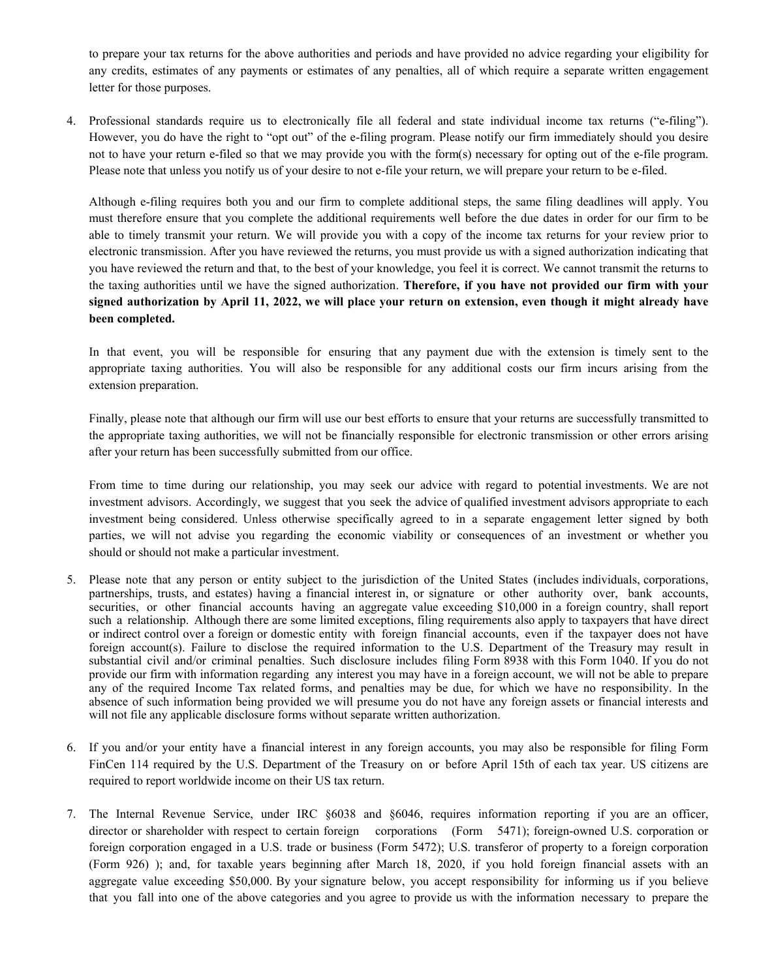to prepare your tax returns for the above authorities and periods and have provided no advice regarding your eligibility for any credits, estimates of any payments or estimates of any penalties, all of which require a separate written engagement letter for those purposes.

4. Professional standards require us to electronically file all federal and state individual income tax returns ("e-filing"). However, you do have the right to "opt out" of the e-filing program. Please notify our firm immediately should you desire not to have your return e-filed so that we may provide you with the form(s) necessary for opting out of the e-file program. Please note that unless you notify us of your desire to not e-file your return, we will prepare your return to be e-filed.

Although e-filing requires both you and our firm to complete additional steps, the same filing deadlines will apply. You must therefore ensure that you complete the additional requirements well before the due dates in order for our firm to be able to timely transmit your return. We will provide you with a copy of the income tax returns for your review prior to electronic transmission. After you have reviewed the returns, you must provide us with a signed authorization indicating that you have reviewed the return and that, to the best of your knowledge, you feel it is correct. We cannot transmit the returns to the taxing authorities until we have the signed authorization. **Therefore, if you have not provided our firm with your signed authorization by April 11, 2022, we will place your return on extension, even though it might already have been completed.** 

In that event, you will be responsible for ensuring that any payment due with the extension is timely sent to the appropriate taxing authorities. You will also be responsible for any additional costs our firm incurs arising from the extension preparation.

Finally, please note that although our firm will use our best efforts to ensure that your returns are successfully transmitted to the appropriate taxing authorities, we will not be financially responsible for electronic transmission or other errors arising after your return has been successfully submitted from our office.

From time to time during our relationship, you may seek our advice with regard to potential investments. We are not investment advisors. Accordingly, we suggest that you seek the advice of qualified investment advisors appropriate to each investment being considered. Unless otherwise specifically agreed to in a separate engagement letter signed by both parties, we will not advise you regarding the economic viability or consequences of an investment or whether you should or should not make a particular investment.

- 5. Please note that any person or entity subject to the jurisdiction of the United States (includes individuals, corporations, partnerships, trusts, and estates) having a financial interest in, or signature or other authority over, bank accounts, securities, or other financial accounts having an aggregate value exceeding \$10,000 in a foreign country, shall report such a relationship. Although there are some limited exceptions, filing requirements also apply to taxpayers that have direct or indirect control over a foreign or domestic entity with foreign financial accounts, even if the taxpayer does not have foreign account(s). Failure to disclose the required information to the U.S. Department of the Treasury may result in substantial civil and/or criminal penalties. Such disclosure includes filing Form 8938 with this Form 1040. If you do not provide our firm with information regarding any interest you may have in a foreign account, we will not be able to prepare any of the required Income Tax related forms, and penalties may be due, for which we have no responsibility. In the absence of such information being provided we will presume you do not have any foreign assets or financial interests and will not file any applicable disclosure forms without separate written authorization.
- 6. If you and/or your entity have a financial interest in any foreign accounts, you may also be responsible for filing Form FinCen 114 required by the U.S. Department of the Treasury on or before April 15th of each tax year. US citizens are required to report worldwide income on their US tax return.
- 7. The Internal Revenue Service, under IRC §6038 and §6046, requires information reporting if you are an officer, director or shareholder with respect to certain foreign corporations (Form 5471); foreign-owned U.S. corporation or foreign corporation engaged in a U.S. trade or business (Form 5472); U.S. transferor of property to a foreign corporation (Form 926) ); and, for taxable years beginning after March 18, 2020, if you hold foreign financial assets with an aggregate value exceeding \$50,000. By your signature below, you accept responsibility for informing us if you believe that you fall into one of the above categories and you agree to provide us with the information necessary to prepare the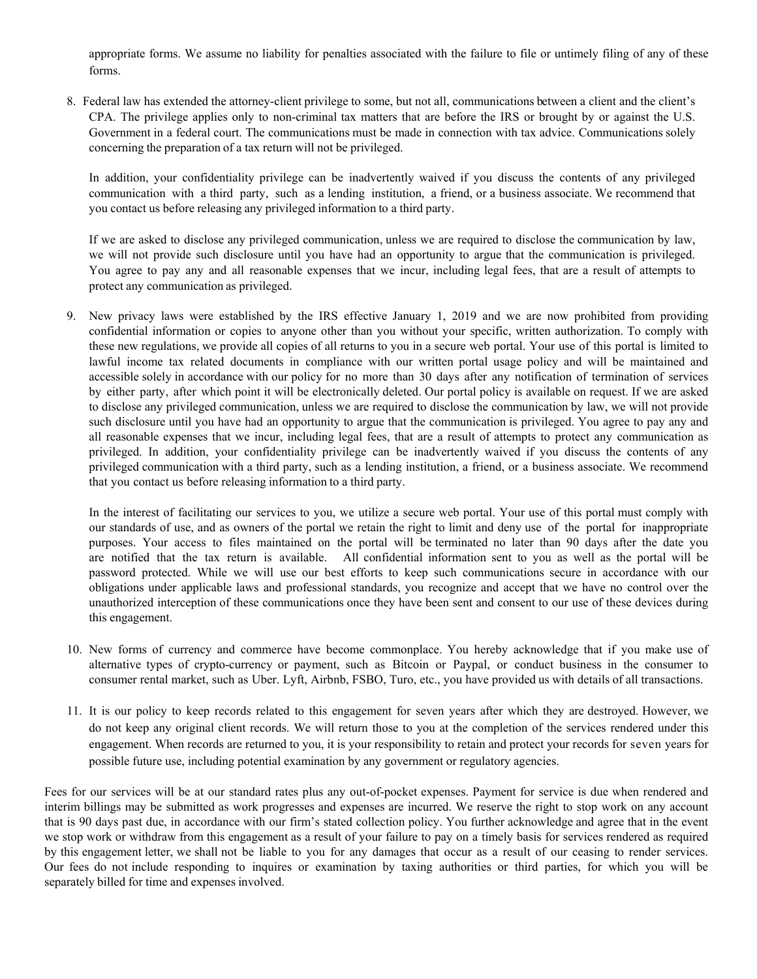appropriate forms. We assume no liability for penalties associated with the failure to file or untimely filing of any of these forms.

8. Federal law has extended the attorney-client privilege to some, but not all, communications between a client and the client's CPA. The privilege applies only to non-criminal tax matters that are before the IRS or brought by or against the U.S. Government in a federal court. The communications must be made in connection with tax advice. Communications solely concerning the preparation of a tax return will not be privileged.

In addition, your confidentiality privilege can be inadvertently waived if you discuss the contents of any privileged communication with a third party, such as a lending institution, a friend, or a business associate. We recommend that you contact us before releasing any privileged information to a third party.

If we are asked to disclose any privileged communication, unless we are required to disclose the communication by law, we will not provide such disclosure until you have had an opportunity to argue that the communication is privileged. You agree to pay any and all reasonable expenses that we incur, including legal fees, that are a result of attempts to protect any communication as privileged.

9. New privacy laws were established by the IRS effective January 1, 2019 and we are now prohibited from providing confidential information or copies to anyone other than you without your specific, written authorization. To comply with these new regulations, we provide all copies of all returns to you in a secure web portal. Your use of this portal is limited to lawful income tax related documents in compliance with our written portal usage policy and will be maintained and accessible solely in accordance with our policy for no more than 30 days after any notification of termination of services by either party, after which point it will be electronically deleted. Our portal policy is available on request. If we are asked to disclose any privileged communication, unless we are required to disclose the communication by law, we will not provide such disclosure until you have had an opportunity to argue that the communication is privileged. You agree to pay any and all reasonable expenses that we incur, including legal fees, that are a result of attempts to protect any communication as privileged. In addition, your confidentiality privilege can be inadvertently waived if you discuss the contents of any privileged communication with a third party, such as a lending institution, a friend, or a business associate. We recommend that you contact us before releasing information to a third party.

In the interest of facilitating our services to you, we utilize a secure web portal. Your use of this portal must comply with our standards of use, and as owners of the portal we retain the right to limit and deny use of the portal for inappropriate purposes. Your access to files maintained on the portal will be terminated no later than 90 days after the date you are notified that the tax return is available. All confidential information sent to you as well as the portal will be password protected. While we will use our best efforts to keep such communications secure in accordance with our obligations under applicable laws and professional standards, you recognize and accept that we have no control over the unauthorized interception of these communications once they have been sent and consent to our use of these devices during this engagement.

- 10. New forms of currency and commerce have become commonplace. You hereby acknowledge that if you make use of alternative types of crypto-currency or payment, such as Bitcoin or Paypal, or conduct business in the consumer to consumer rental market, such as Uber. Lyft, Airbnb, FSBO, Turo, etc., you have provided us with details of all transactions.
- 11. It is our policy to keep records related to this engagement for seven years after which they are destroyed. However, we do not keep any original client records. We will return those to you at the completion of the services rendered under this engagement. When records are returned to you, it is your responsibility to retain and protect your records for seven years for possible future use, including potential examination by any government or regulatory agencies.

Fees for our services will be at our standard rates plus any out-of-pocket expenses. Payment for service is due when rendered and interim billings may be submitted as work progresses and expenses are incurred. We reserve the right to stop work on any account that is 90 days past due, in accordance with our firm's stated collection policy. You further acknowledge and agree that in the event we stop work or withdraw from this engagement as a result of your failure to pay on a timely basis for services rendered as required by this engagement letter, we shall not be liable to you for any damages that occur as a result of our ceasing to render services. Our fees do not include responding to inquires or examination by taxing authorities or third parties, for which you will be separately billed for time and expenses involved.